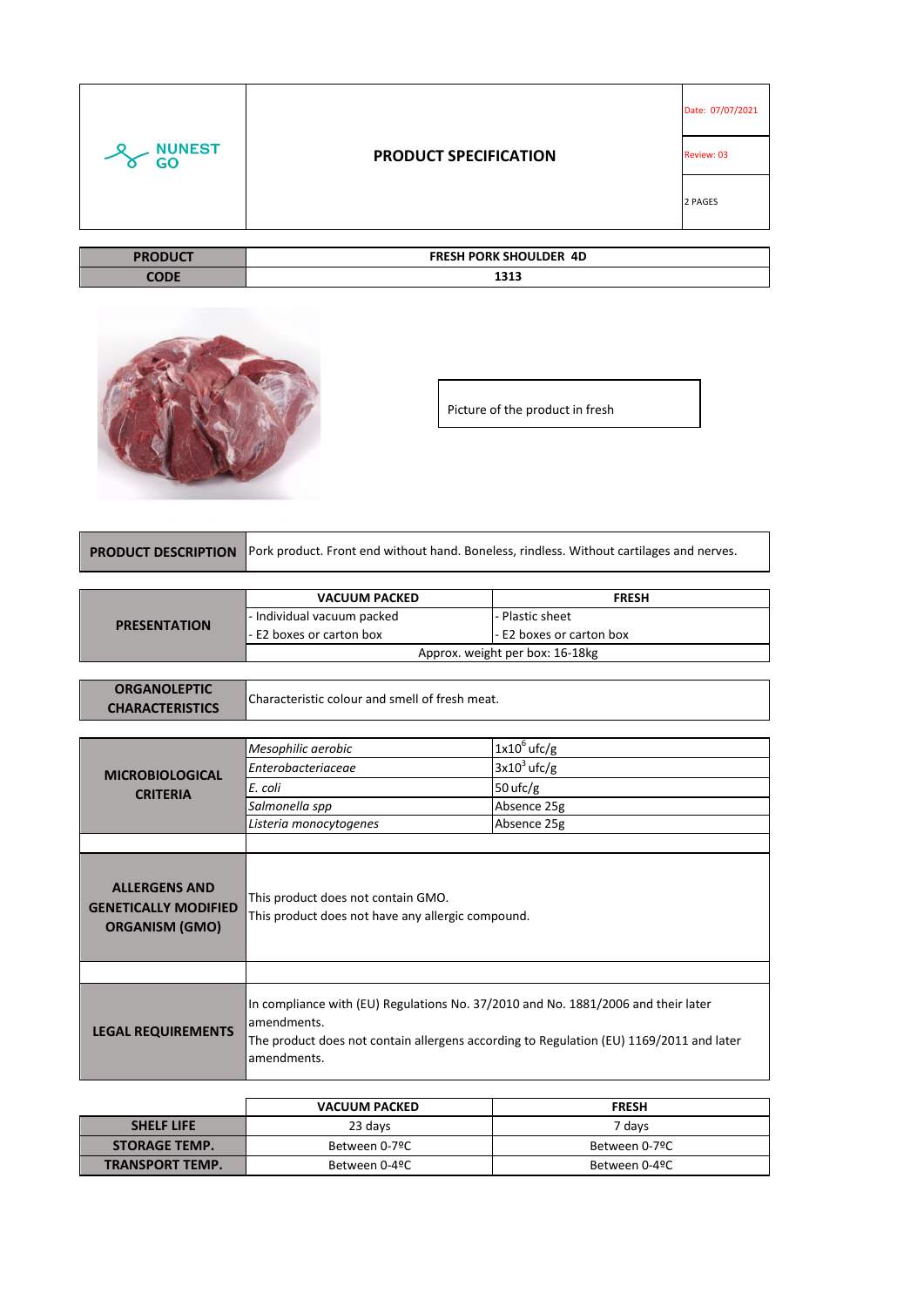|                     |                               | Date: 07/07/2021 |
|---------------------|-------------------------------|------------------|
| <b>NUNEST</b><br>GO | <b>PRODUCT SPECIFICATION</b>  | Review: 03       |
|                     |                               | 2 PAGES          |
|                     |                               |                  |
| <b>PRODUCT</b>      | <b>FRESH PORK SHOULDER 4D</b> |                  |
| <b>CODE</b>         | 1313                          |                  |

|--|

П

Picture of the product in fresh

|  | <b>PRODUCT DESCRIPTION</b> Pork product. Front end without hand. Boneless, rindless. Without cartilages and nerves. |
|--|---------------------------------------------------------------------------------------------------------------------|
|--|---------------------------------------------------------------------------------------------------------------------|

|                     | <b>VACUUM PACKED</b>            | <b>FRESH</b>             |
|---------------------|---------------------------------|--------------------------|
| <b>PRESENTATION</b> | - Individual vacuum packed      | l- Plastic sheet         |
|                     | - E2 boxes or carton box        | - E2 boxes or carton box |
|                     | Approx. weight per box: 16-18kg |                          |

| <b>ORGANOLEPTIC</b>    |                                                |
|------------------------|------------------------------------------------|
| <b>CHARACTERISTICS</b> | Characteristic colour and smell of fresh meat. |

|                                                                              | Mesophilic aerobic                                                                                                                                                                                         | $1x10^6$ ufc/g |
|------------------------------------------------------------------------------|------------------------------------------------------------------------------------------------------------------------------------------------------------------------------------------------------------|----------------|
| <b>MICROBIOLOGICAL</b><br><b>CRITERIA</b>                                    | Enterobacteriaceae                                                                                                                                                                                         | $3x10^3$ ufc/g |
|                                                                              | E. coli                                                                                                                                                                                                    | 50 $ufc/g$     |
|                                                                              | Salmonella spp                                                                                                                                                                                             | Absence 25g    |
|                                                                              | Listeria monocytogenes                                                                                                                                                                                     | Absence 25g    |
|                                                                              |                                                                                                                                                                                                            |                |
| <b>ALLERGENS AND</b><br><b>GENETICALLY MODIFIED</b><br><b>ORGANISM (GMO)</b> | This product does not contain GMO.<br>This product does not have any allergic compound.                                                                                                                    |                |
|                                                                              |                                                                                                                                                                                                            |                |
| <b>LEGAL REQUIREMENTS</b>                                                    | In compliance with (EU) Regulations No. 37/2010 and No. 1881/2006 and their later<br>amendments.<br>The product does not contain allergens according to Regulation (EU) 1169/2011 and later<br>amendments. |                |

|                        | <b>VACUUM PACKED</b>           | <b>FRESH</b>  |
|------------------------|--------------------------------|---------------|
| <b>SHELF LIFE</b>      | 23 days                        | 7 davs        |
| <b>STORAGE TEMP.</b>   | Between 0-7ºC                  | Between 0-7ºC |
| <b>TRANSPORT TEMP.</b> | Between 0-4ºC<br>Between 0-4ºC |               |